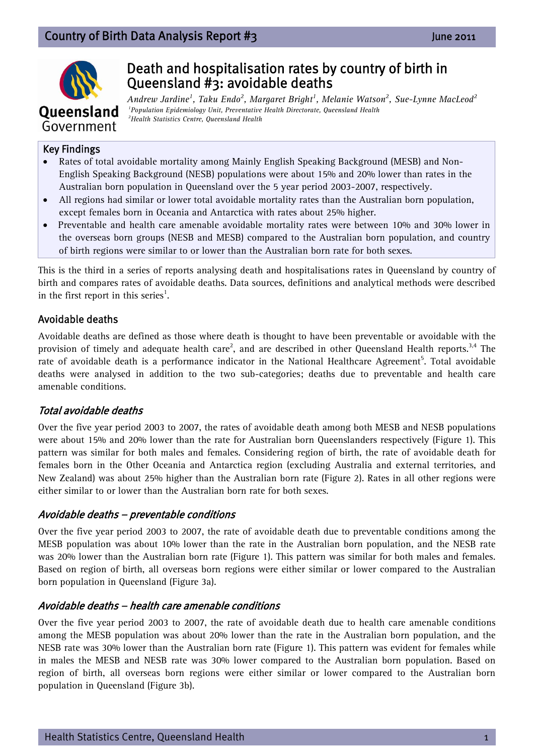## Country of Birth Data Analysis Report #3 June 2011



# Death and hospitalisation rates by country of birth in Queensland #3: avoidable deaths

*Andrew Jardine<sup>1</sup> , Taku Endo2 , Margaret Bright1 , Melanie Watson2 , Sue-Lynne MacLeod<sup>2</sup> 1Population Epidemiology Unit, Preventative Health Directorate, Queensland Health 2Health Statistics Centre, Queensland Health* 

#### Key Findings

- Rates of total avoidable mortality among Mainly English Speaking Background (MESB) and Non-English Speaking Background (NESB) populations were about 15% and 20% lower than rates in the Australian born population in Queensland over the 5 year period 2003-2007, respectively.
- All regions had similar or lower total avoidable mortality rates than the Australian born population, except females born in Oceania and Antarctica with rates about 25% higher.
- Preventable and health care amenable avoidable mortality rates were between 10% and 30% lower in the overseas born groups (NESB and MESB) compared to the Australian born population, and country of birth regions were similar to or lower than the Australian born rate for both sexes.

This is the third in a series of reports analysing death and hospitalisations rates in Queensland by country of birth and compares rates of avoidable deaths. Data sources, definitions and analytical methods were described in the first report in this series<sup>1</sup>.

#### Avoidable deaths

Avoidable deaths are defined as those where death is thought to have been preventable or avoidable with the provision of timely and adequate health care<sup>2</sup>, and are described in other Queensland Health reports.<sup>3,4</sup> The rate of avoidable death is a performance indicator in the National Healthcare Agreement<sup>5</sup>. Total avoidable deaths were analysed in addition to the two sub-categories; deaths due to preventable and health care amenable conditions.

### Total avoidable deaths

Over the five year period 2003 to 2007, the rates of avoidable death among both MESB and NESB populations were about 15% and 20% lower than the rate for Australian born Queenslanders respectively (Figure 1). This pattern was similar for both males and females. Considering region of birth, the rate of avoidable death for females born in the Other Oceania and Antarctica region (excluding Australia and external territories, and New Zealand) was about 25% higher than the Australian born rate (Figure 2). Rates in all other regions were either similar to or lower than the Australian born rate for both sexes.

#### Avoidable deaths – preventable conditions

Over the five year period 2003 to 2007, the rate of avoidable death due to preventable conditions among the MESB population was about 10% lower than the rate in the Australian born population, and the NESB rate was 20% lower than the Australian born rate (Figure 1). This pattern was similar for both males and females. Based on region of birth, all overseas born regions were either similar or lower compared to the Australian born population in Queensland (Figure 3a).

#### Avoidable deaths – health care amenable conditions

Over the five year period 2003 to 2007, the rate of avoidable death due to health care amenable conditions among the MESB population was about 20% lower than the rate in the Australian born population, and the NESB rate was 30% lower than the Australian born rate (Figure 1). This pattern was evident for females while in males the MESB and NESB rate was 30% lower compared to the Australian born population. Based on region of birth, all overseas born regions were either similar or lower compared to the Australian born population in Queensland (Figure 3b).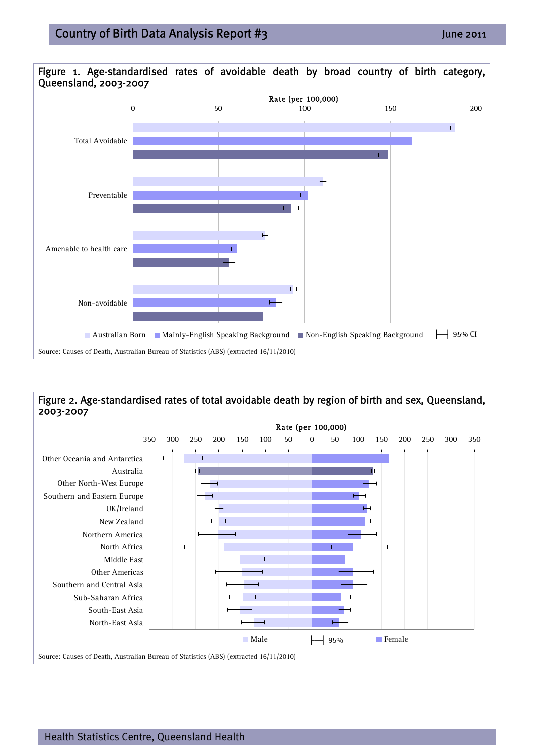

#### Figure 2. Age-standardised rates of total avoidable death by region of birth and sex, Queensland, 2003-2007

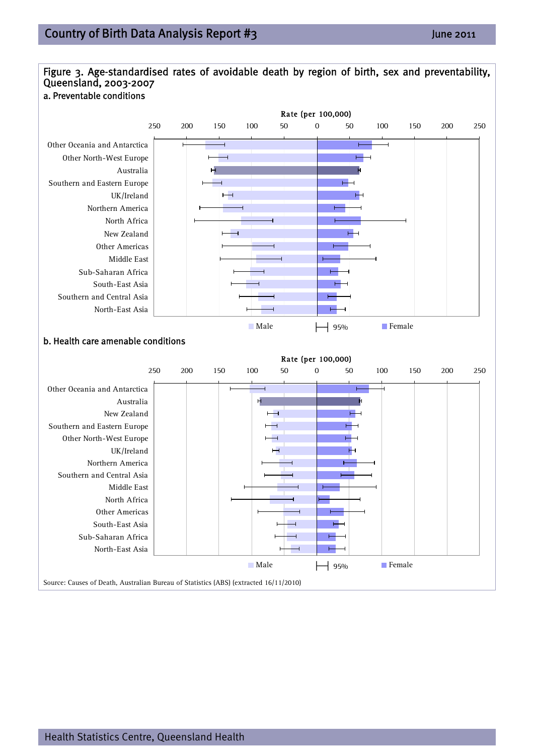Other Oceania and Antarctica Other North-West Europe

Southern and Eastern Europe

Australia

UK/Ireland

Northern America North Africa New Zealand Other Americas Middle East

Sub-Saharan Africa South-East Asia

North-East Asia

Southern and Central Asia



**Details The Male** Female **b. Health care amenable conditions**<br> **b. Health care amenable conditions** 

 $\overline{\phantom{0}}$ 



250 200 150 100 50 0 50 100 150 200 250

Rate (per 100,000)